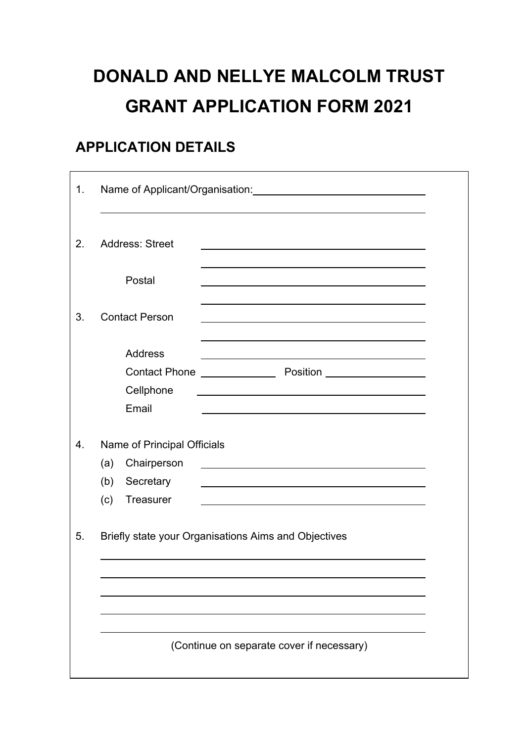# **DONALD AND NELLYE MALCOLM TRUST GRANT APPLICATION FORM 2021**

#### **APPLICATION DETAILS**

| 1. | Name of Applicant/Organisation: Name of Applicant/Organisation:                                                                                              |  |  |  |
|----|--------------------------------------------------------------------------------------------------------------------------------------------------------------|--|--|--|
| 2. | <b>Address: Street</b><br><u> 1989 - Johann Barbara, martxa alemaniar arg</u>                                                                                |  |  |  |
|    | Postal                                                                                                                                                       |  |  |  |
| 3. | <b>Contact Person</b>                                                                                                                                        |  |  |  |
|    | <b>Address</b><br><u> 1989 - Johann John Stone, markin film yn y brening yn y brening y brening yn y brening y brening yn y brenin</u><br>Cellphone<br>Email |  |  |  |
| 4. | Name of Principal Officials<br>Chairperson<br>(a)<br>(b)<br>Secretary<br>(c)<br>Treasurer                                                                    |  |  |  |
| 5. | Briefly state your Organisations Aims and Objectives                                                                                                         |  |  |  |
|    |                                                                                                                                                              |  |  |  |
|    | (Continue on separate cover if necessary)                                                                                                                    |  |  |  |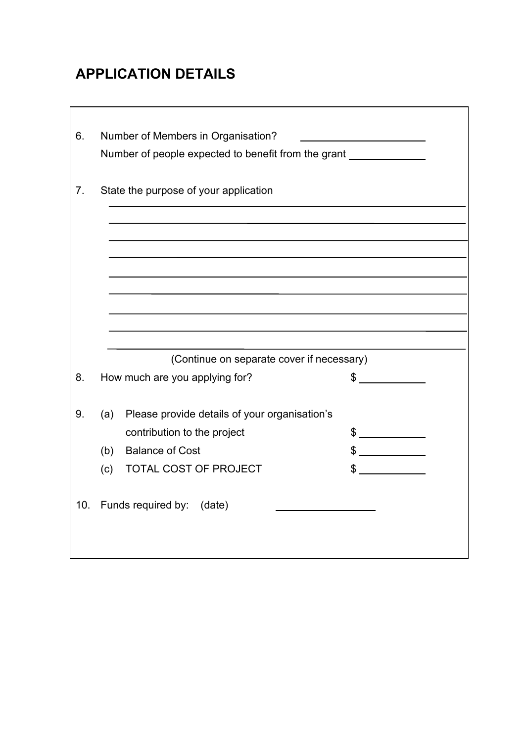# **APPLICATION DETAILS**

| 6.        | Number of Members in Organisation?                  |                      |
|-----------|-----------------------------------------------------|----------------------|
|           | Number of people expected to benefit from the grant |                      |
| 7.        | State the purpose of your application               |                      |
|           |                                                     |                      |
|           |                                                     |                      |
|           |                                                     |                      |
|           |                                                     |                      |
|           |                                                     |                      |
|           |                                                     |                      |
|           |                                                     |                      |
|           |                                                     |                      |
|           | (Continue on separate cover if necessary)           |                      |
| 8.        | How much are you applying for?                      | $\frac{1}{\sqrt{2}}$ |
|           |                                                     |                      |
| 9.<br>(a) | Please provide details of your organisation's       |                      |
|           | contribution to the project                         | $\frac{1}{2}$        |
| (b)       | <b>Balance of Cost</b>                              | $\frac{1}{2}$        |
| (c)       | TOTAL COST OF PROJECT                               | $\sim$               |
| 10.       | Funds required by:<br>(date)                        |                      |
|           |                                                     |                      |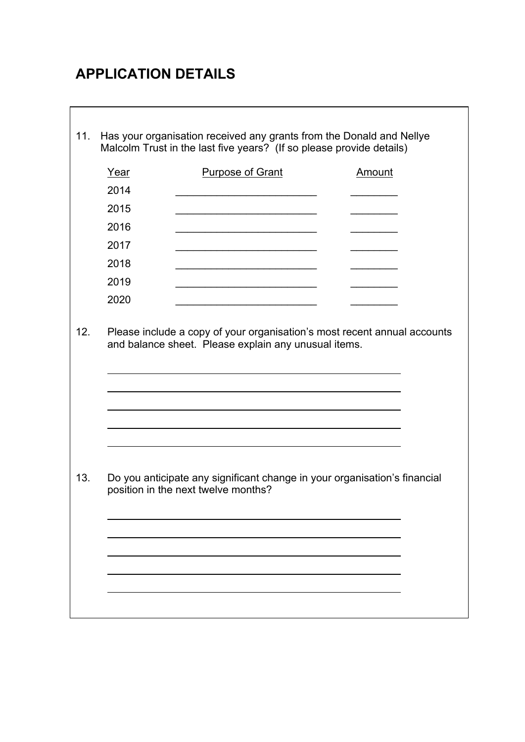# **APPLICATION DETAILS**

| Year | <b>Purpose of Grant</b>                                                                                                          | Amount |
|------|----------------------------------------------------------------------------------------------------------------------------------|--------|
| 2014 |                                                                                                                                  |        |
| 2015 |                                                                                                                                  |        |
| 2016 |                                                                                                                                  |        |
| 2017 |                                                                                                                                  |        |
| 2018 |                                                                                                                                  |        |
| 2019 |                                                                                                                                  |        |
| 2020 |                                                                                                                                  |        |
|      | Please include a copy of your organisation's most recent annual accounts<br>and balance sheet. Please explain any unusual items. |        |
|      |                                                                                                                                  |        |
|      | Do you anticipate any significant change in your organisation's financial<br>position in the next twelve months?                 |        |
|      |                                                                                                                                  |        |
|      |                                                                                                                                  |        |